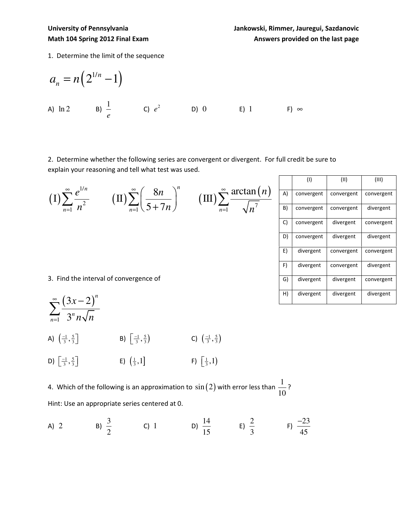1. Determine the limit of the sequence

$$
a_n = n \left( 2^{1/n} - 1 \right)
$$
  
\na) ln 2 \nb)  $\frac{1}{e}$  \nc)  $e^2$  \nb) 0 \t\t\t E) 1 \t\t\t F)  $\infty$ 

2. Determine whether the following series are convergent or divergent. For full credit be sure to explain your reasoning and tell what test was used.

| $\infty$<br>(I)<br>$n^2$               | $\text{(II)}\sum_{n=1}^{\infty} \left(\frac{8n}{5+7n}\right)^n$ $\text{(III)}\sum_{n=1}^{\infty} \frac{\arctan(n)}{\sqrt{n^7}}$ | $\overline{n=1}$ |  |
|----------------------------------------|---------------------------------------------------------------------------------------------------------------------------------|------------------|--|
|                                        |                                                                                                                                 |                  |  |
|                                        |                                                                                                                                 |                  |  |
|                                        |                                                                                                                                 |                  |  |
|                                        |                                                                                                                                 |                  |  |
| 3. Find the interval of convergence of |                                                                                                                                 |                  |  |
| $\sum_{n=1}^{\infty} (3x-2)^n$         |                                                                                                                                 |                  |  |

| $\sum_{n=1}^{\infty} \overline{\left(3^n n \sqrt{n}\right)}$ |                                             |                                             |
|--------------------------------------------------------------|---------------------------------------------|---------------------------------------------|
| A) $\left(\frac{-1}{3}, \frac{5}{3}\right)$                  | B) $\left(\frac{-1}{3}, \frac{5}{3}\right)$ | C) $\left(\frac{-1}{3}, \frac{5}{3}\right)$ |

D)  $\left[\frac{-1}{3}, \frac{5}{3}\right]$  $\left[\frac{-1}{3}, \frac{5}{3}\right]$  E)  $\left(\frac{1}{3}, 1\right]$  $\mathsf{F}\left[\frac{1}{3},1\right)$   $\qquad \qquad \mathsf{F}\left[\frac{1}{3},1\right)$ 

4. Which of the following is an approximation to  $\sin(2)$  with error less than  $\frac{1}{\sqrt{2}}$ 10 ? Hint: Use an appropriate series centered at 0.

A) 2 \tB) 
$$
\frac{3}{2}
$$
 \tC) 1 \tD)  $\frac{14}{15}$  \tE)  $\frac{2}{3}$  \tF)  $\frac{-23}{45}$ 

|    | (1)        | (11)       | (III)      |
|----|------------|------------|------------|
| A) | convergent | convergent | convergent |
| B) | convergent | convergent | divergent  |
| C) | convergent | divergent  | convergent |
| D) | convergent | divergent  | divergent  |
| E) | divergent  | convergent | convergent |
| F) | divergent  | convergent | divergent  |
| G) | divergent  | divergent  | convergent |
| H) | divergent  | divergent  | divergent  |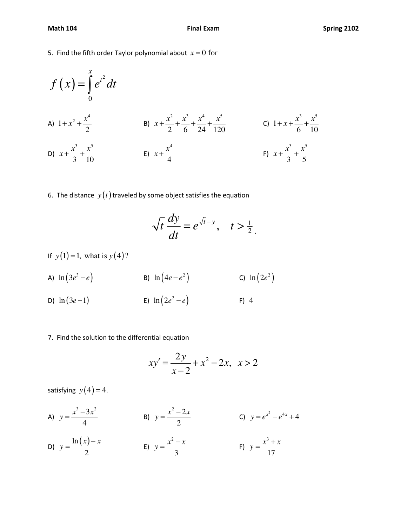5. Find the fifth order Taylor polynomial about  $x = 0$  for

$$
f(x) = \int_{0}^{x} e^{t^{2}} dt
$$
  
\nA)  $1 + x^{2} + \frac{x^{4}}{2}$   
\nB)  $x + \frac{x^{2}}{2} + \frac{x^{3}}{6} + \frac{x^{4}}{24} + \frac{x^{5}}{120}$   
\nC)  $1 + x + \frac{x^{3}}{6} + \frac{x^{5}}{10}$   
\nD)  $x + \frac{x^{3}}{3} + \frac{x^{5}}{10}$   
\nE)  $x + \frac{x^{4}}{4}$   
\nE)  $x + \frac{x^{4}}{4}$   
\nE)  $x + \frac{x^{4}}{4}$   
\nE)  $x + \frac{x^{6}}{4}$ 

6. The distance  $y(t)$  traveled by some object satisfies the equation

$$
\sqrt{t}\frac{dy}{dt} = e^{\sqrt{t}-y}, \quad t > \frac{1}{2}.
$$

- If  $y(1) = 1$ , what is  $y(4)$ ?
- A)  $\ln (3e^3 e)$  B)  $\ln (4e e^2)$  C)  $\ln (2e^2)$
- D)  $\ln (3e-1)$  E)  $\ln (2e^2-e)$  F) 4
- 7. Find the solution to the differential equation

$$
xy' = \frac{2y}{x-2} + x^2 - 2x, \ \ x > 2
$$

satisfying  $y(4) = 4$ .

- A)  $y = \frac{x^3 3x^2}{4}$ 4  $y = \frac{x^3 - 3x}{4}$  $=\frac{x^3-3x^2}{1}$  B)  $2^2 - 2$ 2  $y = \frac{x^2 - 2x}{2}$  $=\frac{x^2-2x}{2}$  C)  $y = e^{x^2} - e^{4x} + 4$
- D)  $y = \frac{\ln(x)}{2}$ 2  $(x) - x$ *y* −  $=\frac{m(x)-x}{2}$  E) 2 3  $y = \frac{x^2 - x}{2}$  $=\frac{x^2-x}{2}$  F) 3 17  $y = \frac{x^3 + x}{45}$  $=\frac{x^3+x}{1-x^2}$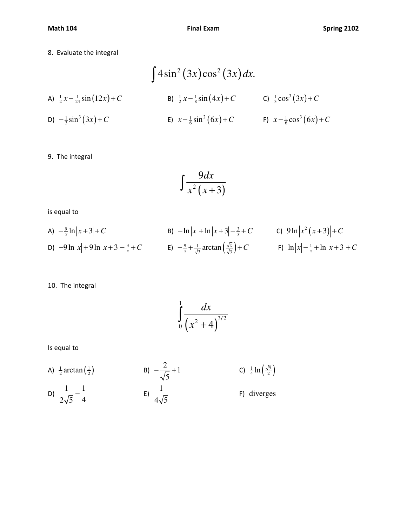8. Evaluate the integral

$$
\int 4\sin^2(3x)\cos^2(3x)dx.
$$
  
\nA)  $\frac{1}{2}x - \frac{1}{24}\sin(12x) + C$   
\nB)  $\frac{1}{2}x - \frac{1}{8}\sin(4x) + C$   
\nC)  $\frac{1}{3}\cos^3(3x) + C$   
\nD)  $-\frac{1}{3}\sin^3(3x) + C$   
\nE)  $x - \frac{1}{6}\sin^2(6x) + C$   
\nE)  $x - \frac{1}{6}\sin^2(6x) + C$   
\nE)  $x - \frac{1}{6}\cos^3(6x) + C$ 

9. The integral

$$
\int \frac{9dx}{x^2(x+3)}
$$

is equal to

A) 
$$
-\frac{9}{x}\ln|x+3|+C
$$
  
\nB)  $-\ln|x|+\ln|x+3|-\frac{3}{x}+C$   
\nC)  $9\ln|x^2(x+3)|+C$   
\nD)  $-9\ln|x|+9\ln|x+3|-\frac{3}{x}+C$   
\nE)  $-\frac{9}{x}+\frac{1}{\sqrt{3}}\arctan(\frac{\sqrt{x}}{\sqrt{3}})+C$   
\nE)  $-\frac{9}{x}+\frac{1}{\sqrt{3}}\arctan(\frac{\sqrt{x}}{\sqrt{3}})+C$   
\nE)  $\ln|x|-\frac{1}{x}+\ln|x+3|+C$ 

10. The integral

$$
\int\limits_{0}^{1} \frac{dx}{\left(x^2+4\right)^{3/2}}
$$

Is equal to

A) 
$$
\frac{1}{2} \arctan(\frac{1}{2})
$$
  
\nB)  $-\frac{2}{\sqrt{5}} + 1$   
\nC)  $\frac{1}{4} \ln(\frac{\sqrt{5}}{2})$   
\nD)  $\frac{1}{2\sqrt{5}} - \frac{1}{4}$   
\nE)  $\frac{1}{4\sqrt{5}}$   
\nF) diverges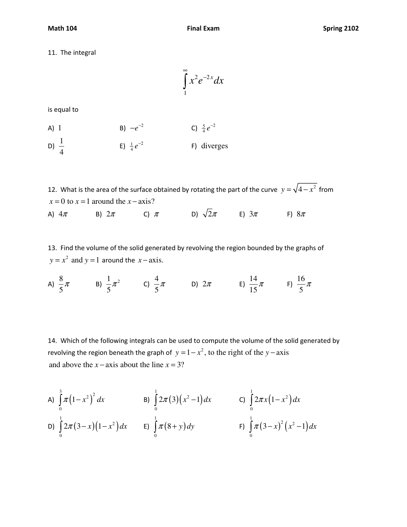11. The integral

$$
\int_{1}^{\infty} x^2 e^{-2x} dx
$$

is equal to

A) 1  
B) 
$$
-e^{-2}
$$
  
C)  $\frac{5}{4}e^{-2}$ 

D)  $\frac{1}{4}$ 4 E)  $\frac{1}{4}e^{-2}$ F) diverges

12. What is the area of the surface obtained by rotating the part of the curve  $y = \sqrt{4-x^2}$  from  $x = 0$  to  $x = 1$  around the  $x - axis$ ? A)  $4\pi$  B)  $2\pi$  C)  $\pi$  D)  $\sqrt{2}\pi$  E)  $3\pi$  F)  $8\pi$ 

13. Find the volume of the solid generated by revolving the region bounded by the graphs of  $y = x^2$  and  $y = 1$  around the  $x - axis$ .

A)  $\frac{8}{7}$ 5  $\pi$  B)  $\frac{1}{2}\pi^2$ 5  $\pi^2$  C)  $\frac{4}{7}$ 5  $\pi$  D)  $2\pi$  E)  $\frac{14}{15}$ 15  $\pi$  F)  $\frac{16}{7}$  $\frac{\pi}{5}$ 

14. Which of the following integrals can be used to compute the volume of the solid generated by revolving the region beneath the graph of  $y = 1 - x^2$ , to the right of the  $y - axis$ and above the  $x - axis$  about the line  $x = 3$ ?

A) 
$$
\int_{0}^{3} \pi (1-x^2)^2 dx
$$
  
\nB)  $\int_{0}^{1} 2\pi (3)(x^2-1) dx$   
\nC)  $\int_{0}^{1} 2\pi x (1-x^2) dx$   
\nD)  $\int_{0}^{1} 2\pi (3-x)(1-x^2) dx$   
\nE)  $\int_{0}^{1} \pi (8+y) dy$   
\nE)  $\int_{0}^{1} \pi (3-x)^2 (x^2-1) dx$